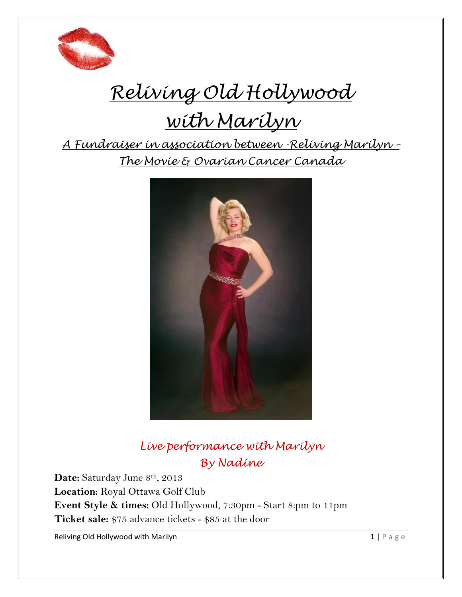

# *Reliving Old Hollywood*

# *with Marilyn*

*A Fundraiser in association between -Reliving Marilyn – The Movie & Ovarian Cancer Canada*



*Live performance with Marilyn By Nadine* 

Date: Saturday June 8<sup>th</sup>, 2013 **Location:** Royal Ottawa Golf Club **Event Style & times:** Old Hollywood, 7:30pm - Start 8:pm to 11pm **Ticket sale:** \$75 advance tickets - \$85 at the door

Reliving Old Hollywood with Marilyn  $1 | P a g e$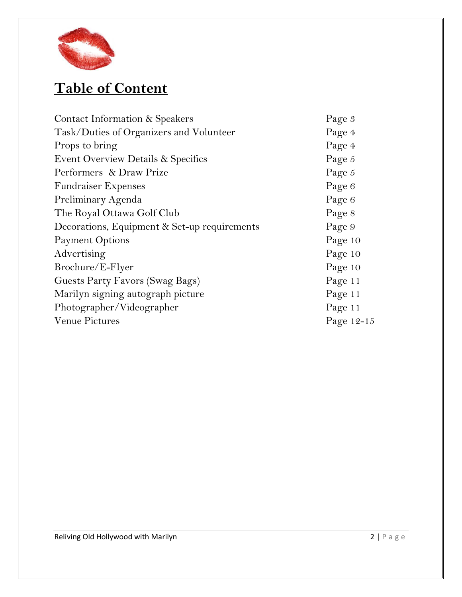

# **Table of Content**

| Contact Information & Speakers               | Page 3     |
|----------------------------------------------|------------|
| Task/Duties of Organizers and Volunteer      | Page 4     |
| Props to bring                               | Page 4     |
| Event Overview Details & Specifics           | Page 5     |
| Performers & Draw Prize                      | Page 5     |
| <b>Fundraiser Expenses</b>                   | Page 6     |
| Preliminary Agenda                           | Page 6     |
| The Royal Ottawa Golf Club                   | Page 8     |
| Decorations, Equipment & Set-up requirements | Page 9     |
| <b>Payment Options</b>                       | Page 10    |
| Advertising                                  | Page 10    |
| Brochure/E-Flyer                             | Page 10    |
| Guests Party Favors (Swag Bags)              | Page 11    |
| Marilyn signing autograph picture            | Page 11    |
| Photographer/Videographer                    | Page 11    |
| Venue Pictures                               | Page 12-15 |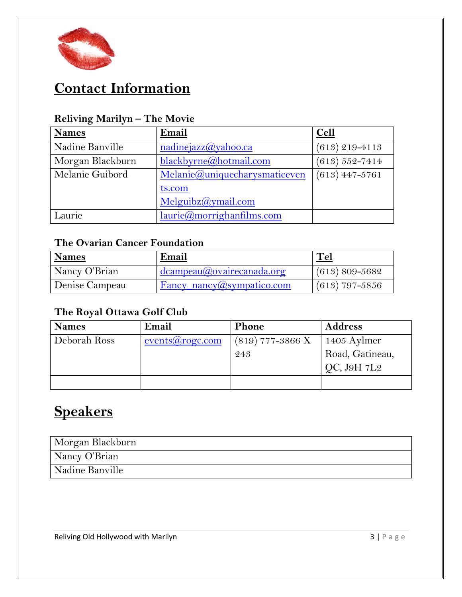

## **Contact Information**

| <b>Names</b>     | Email                         | <b>Cell</b>        |
|------------------|-------------------------------|--------------------|
| Nadine Banville  | nadinejazz@yahoo.ca           | $(613)$ 219-4113   |
| Morgan Blackburn | blackbyrne@hotmail.com        | $(613) 552 - 7414$ |
| Melanie Guibord  | Melanie@uniquecharysmaticeven | $(613)$ 447-5761   |
|                  | ts.com                        |                    |
|                  | Melquibz@ymail.com            |                    |
| Laurie           | laurie@morrightanfilms.com    |                    |

#### **Reliving Marilyn – The Movie**

#### **The Ovarian Cancer Foundation**

| Names          | Email                               | <u>Tel</u>         |
|----------------|-------------------------------------|--------------------|
| Nancy O'Brian  | dcampeau@ovairecanada.org           | $(613) 809 - 5682$ |
| Denise Campeau | $Fancy_namey(\omega)$ sympatico.com | $(613)$ 797-5856   |

#### **The Royal Ottawa Golf Club**

| <b>Names</b> | Email                    | Phone                     | <b>Address</b>                 |
|--------------|--------------------------|---------------------------|--------------------------------|
| Deborah Ross | $events(a) \novers from$ | $(819)$ 777-3866 X<br>243 | 1405 Aylmer<br>Road, Gatineau, |
|              |                          |                           | QC, J9H 7L2                    |
|              |                          |                           |                                |

# **Speakers**

| Morgan Blackburn |  |
|------------------|--|
| Nancy O'Brian    |  |
| Nadine Banville  |  |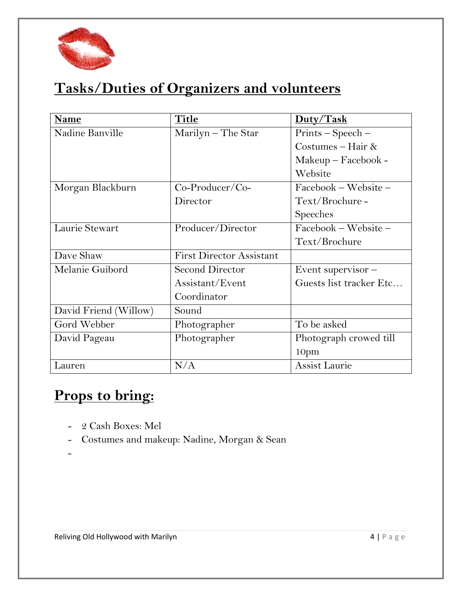

# **Tasks/Duties of Organizers and volunteers**

| Name                  | Title                           | Duty/Task               |
|-----------------------|---------------------------------|-------------------------|
| Nadine Banville       | Marilyn - The Star              | Prints - Speech -       |
|                       |                                 | Costumes – Hair $\&$    |
|                       |                                 | $Makeup-Facebook -$     |
|                       |                                 | Website                 |
| Morgan Blackburn      | $Co-Product/Co-$                | Facebook - Website -    |
|                       | Director                        | Text/Brochure-          |
|                       |                                 | <b>Speeches</b>         |
| Laurie Stewart        | Producer/Director               | Facebook - Website -    |
|                       |                                 | Text/Brochure           |
| Dave Shaw             | <b>First Director Assistant</b> |                         |
| Melanie Guibord       | <b>Second Director</b>          | Event supervisor-       |
|                       | Assistant/Event                 | Guests list tracker Etc |
|                       | Coordinator                     |                         |
| David Friend (Willow) | Sound                           |                         |
| Gord Webber           | Photographer                    | To be asked             |
| David Pageau          | Photographer                    | Photograph crowed till  |
|                       |                                 | 10pm                    |
| Lauren                | N/A                             | Assist Laurie           |

## **Props to bring:**

- 2 Cash Boxes: Mel
- Costumes and makeup: Nadine, Morgan & Sean
- -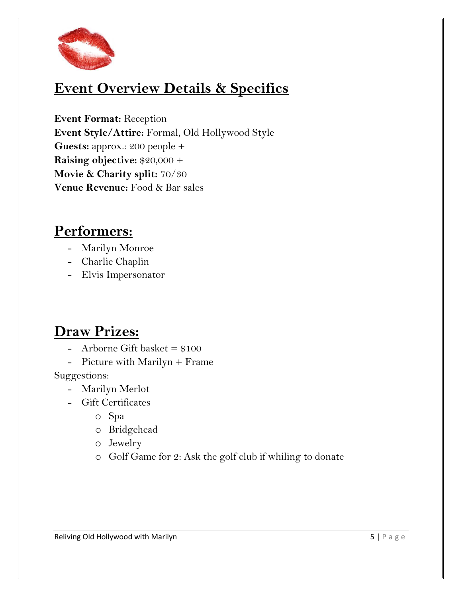

### **Event Overview Details & Specifics**

**Event Format:** Reception **Event Style/Attire:** Formal, Old Hollywood Style **Guests:** approx.: 200 people + **Raising objective:** \$20,000 + **Movie & Charity split:** 70/30 **Venue Revenue:** Food & Bar sales

#### **Performers:**

- Marilyn Monroe
- Charlie Chaplin
- Elvis Impersonator

### **Draw Prizes:**

- Arborne Gift basket  $= $100$
- Picture with Marilyn + Frame

Suggestions:

- Marilyn Merlot
- Gift Certificates
	- o Spa
	- o Bridgehead
	- o Jewelry
	- o Golf Game for 2: Ask the golf club if whiling to donate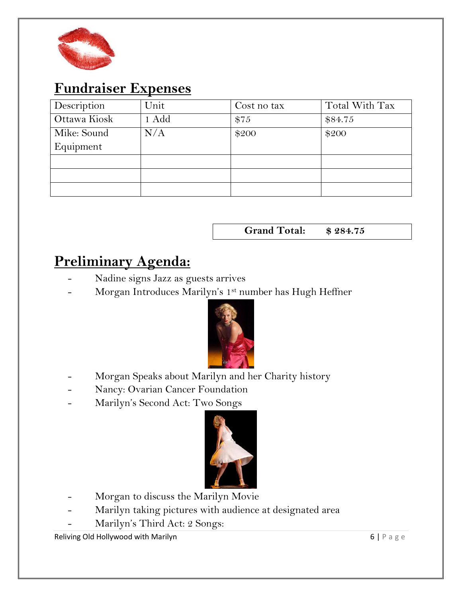

#### **Fundraiser Expenses**

| Description  | Unit  | Cost no tax | Total With Tax |
|--------------|-------|-------------|----------------|
| Ottawa Kiosk | 1 Add | \$75        | \$84.75        |
| Mike: Sound  | N/A   | \$200       | \$200          |
| Equipment    |       |             |                |
|              |       |             |                |
|              |       |             |                |
|              |       |             |                |

**Grand Total: \$ 284.75**

### **Preliminary Agenda:**

- Nadine signs Jazz as guests arrives
- Morgan Introduces Marilyn's 1st number has Hugh Heffner



- Morgan Speaks about Marilyn and her Charity history
- Nancy: Ovarian Cancer Foundation
- Marilyn's Second Act: Two Songs



- Morgan to discuss the Marilyn Movie
- Marilyn taking pictures with audience at designated area
- Marilyn's Third Act: 2 Songs:

Reliving Old Hollywood with Marilyn and the state of the state of the state of the state of the state of the state of the state of the state of the state of the state of the state of the state of the state of the state of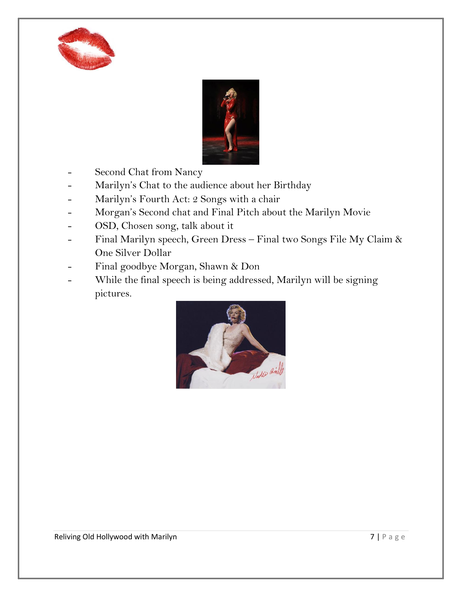



- Second Chat from Nancy
- Marilyn's Chat to the audience about her Birthday
- Marilyn's Fourth Act: 2 Songs with a chair
- Morgan's Second chat and Final Pitch about the Marilyn Movie
- OSD, Chosen song, talk about it
- Final Marilyn speech, Green Dress Final two Songs File My Claim & One Silver Dollar
- Final goodbye Morgan, Shawn & Don
- While the final speech is being addressed, Marilyn will be signing pictures.

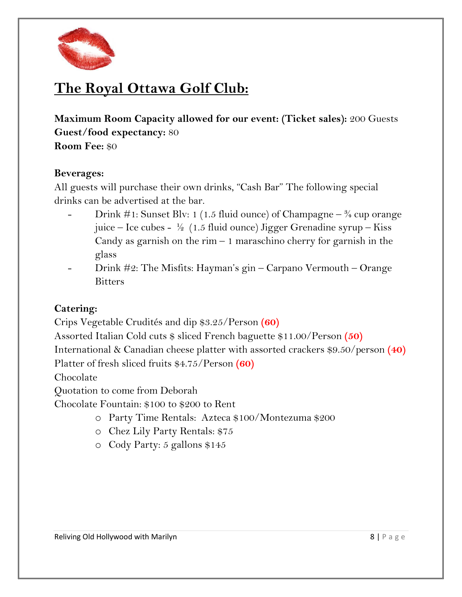

## **The Royal Ottawa Golf Club:**

**Maximum Room Capacity allowed for our event: (Ticket sales):** 200 Guests **Guest/food expectancy:** 80

**Room Fee:** \$0

#### **Beverages:**

All guests will purchase their own drinks, "Cash Bar" The following special drinks can be advertised at the bar.

- Drink #1: Sunset Blv: 1 (1.5 fluid ounce) of Champagne  $\frac{3}{4}$  cup orange juice – Ice cubes -  $\frac{1}{2}$  (1.5 fluid ounce) Jigger Grenadine syrup – Kiss Candy as garnish on the rim  $-1$  maraschino cherry for garnish in the glass
- Drink #2: The Misfits: Hayman's gin Carpano Vermouth Orange Bitters

#### **Catering:**

Crips Vegetable Crudités and dip \$3.25/Person **(60)**

Assorted Italian Cold cuts \$ sliced French baguette \$11.00/Person **(50)**

International & Canadian cheese platter with assorted crackers \$9.50/person **(40)**

Platter of fresh sliced fruits \$4.75/Person **(60)**

Chocolate

Quotation to come from Deborah

Chocolate Fountain: \$100 to \$200 to Rent

- o Party Time Rentals: Azteca \$100/Montezuma \$200
- o Chez Lily Party Rentals: \$75
- o Cody Party: 5 gallons \$145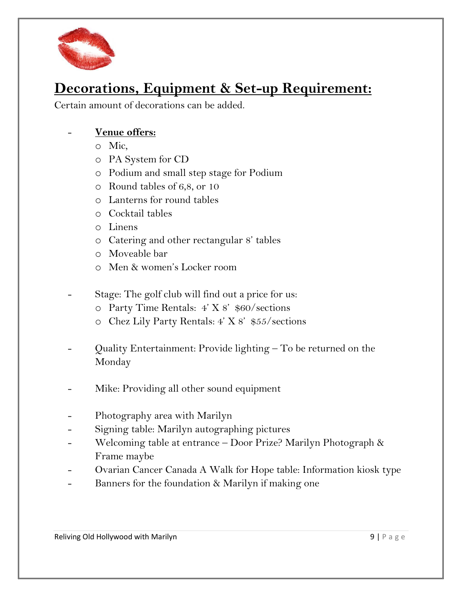

### **Decorations, Equipment & Set-up Requirement:**

Certain amount of decorations can be added.

#### - **Venue offers:**

- o Mic,
- o PA System for CD
- o Podium and small step stage for Podium
- o Round tables of 6,8, or 10
- o Lanterns for round tables
- o Cocktail tables
- o Linens
- o Catering and other rectangular 8' tables
- o Moveable bar
- o Men & women's Locker room
- Stage: The golf club will find out a price for us:
	- o Party Time Rentals: 4' X 8' \$60/sections
	- o Chez Lily Party Rentals: 4' X 8' \$55/sections
- Quality Entertainment: Provide lighting To be returned on the Monday
- Mike: Providing all other sound equipment
- Photography area with Marilyn
- Signing table: Marilyn autographing pictures
- Welcoming table at entrance Door Prize? Marilyn Photograph & Frame maybe
- Ovarian Cancer Canada A Walk for Hope table: Information kiosk type
- Banners for the foundation & Marilyn if making one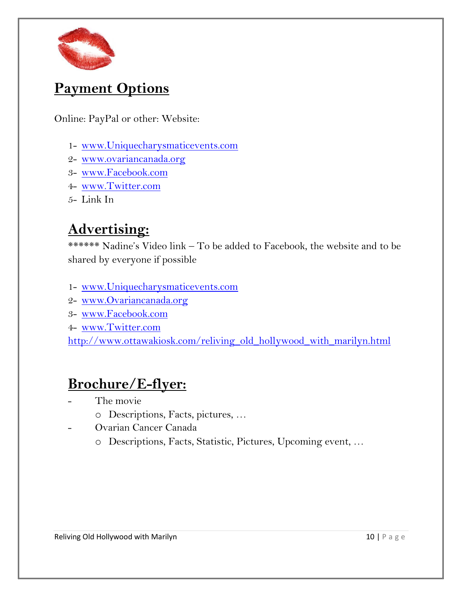

### **Payment Options**

Online: PayPal or other: Website:

- 1- [www.Uniquecharysmaticevents.com](http://www.uniquecharysmaticevents.com/)
- 2- [www.ovariancanada.org](http://www.ovariancanada.org/)
- 3- [www.Facebook.com](http://www.facebook.com/)
- 4- [www.Twitter.com](http://www.twitter.com/)
- 5- Link In

### **Advertising:**

\*\*\*\*\*\* Nadine's Video link – To be added to Facebook, the website and to be shared by everyone if possible

- 1- [www.Uniquecharysmaticevents.com](http://www.uniquecharysmaticevents.com/)
- 2- [www.Ovariancanada.org](http://www.ovariancanada.org/)
- 3- [www.Facebook.com](http://www.facebook.com/)
- 4- [www.Twitter.com](http://www.twitter.com/)

[http://www.ottawakiosk.com/reliving\\_old\\_hollywood\\_with\\_marilyn.html](http://www.ottawakiosk.com/reliving_old_hollywood_with_marilyn.html)

### **Brochure/E-flyer:**

- The movie
	- o Descriptions, Facts, pictures, …
- Ovarian Cancer Canada
	- o Descriptions, Facts, Statistic, Pictures, Upcoming event, …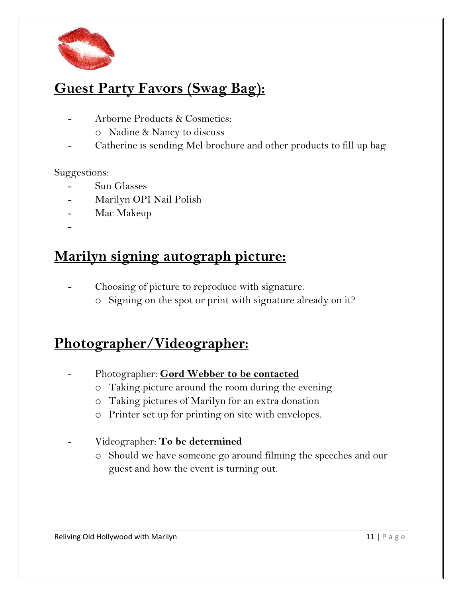

### **Guest Party Favors (Swag Bag):**

- Arborne Products & Cosmetics:
	- o Nadine & Nancy to discuss
- Catherine is sending Mel brochure and other products to fill up bag

#### Suggestions:

- Sun Glasses
- Marilyn OPI Nail Polish
- Mac Makeup
- -

#### **Marilyn signing autograph picture:**

- Choosing of picture to reproduce with signature.
	- o Signing on the spot or print with signature already on it?

#### **Photographer/Videographer:**

- Photographer: **Gord Webber to be contacted**
	- o Taking picture around the room during the evening
	- o Taking pictures of Marilyn for an extra donation
	- o Printer set up for printing on site with envelopes.
- Videographer: **To be determined**
	- o Should we have someone go around filming the speeches and our guest and how the event is turning out.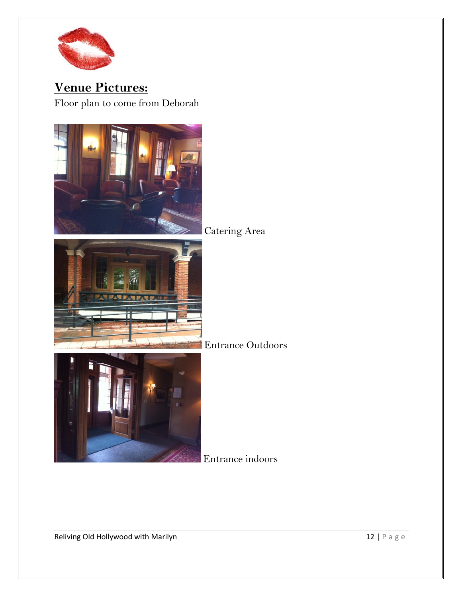

**Venue Pictures:**  Floor plan to come from Deborah

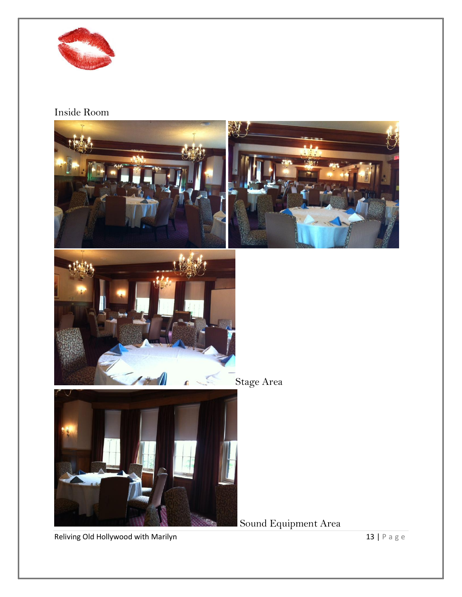

#### Inside Room



Reliving Old Hollywood with Marilyn  $13 | P a g e$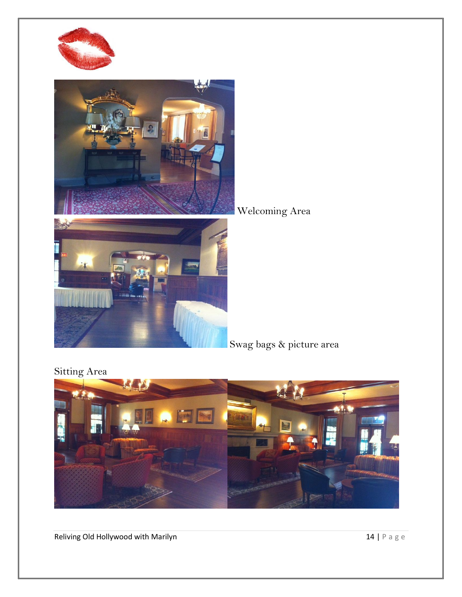



Welcoming Area

Swag bags & picture area

Sitting Area



Reliving Old Hollywood with Marilyn  $14 | P a g e$